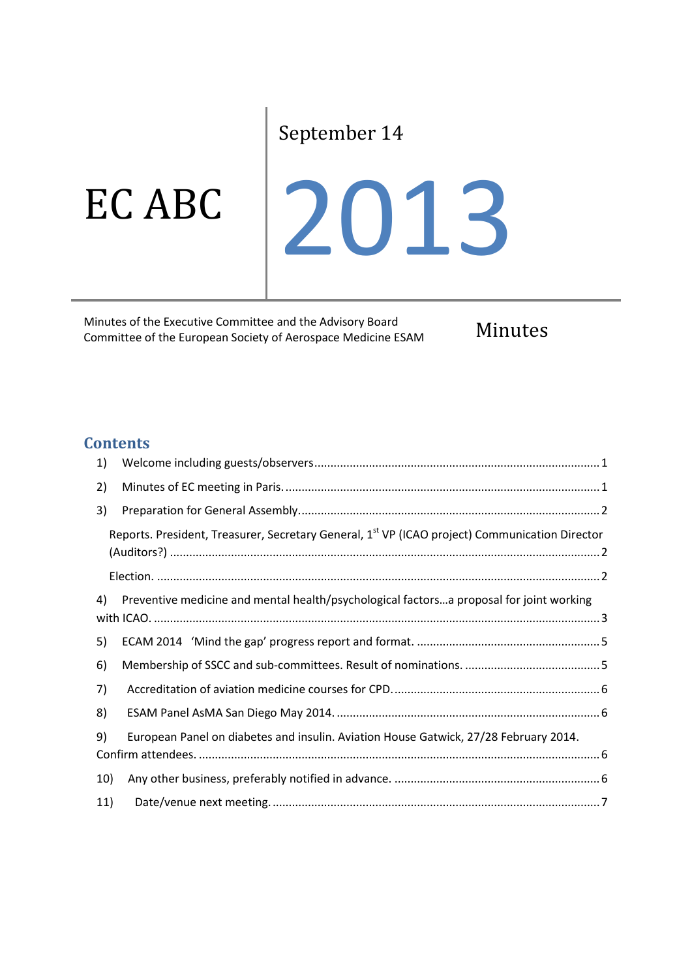# September 14

EC ABC

2013

Minutes of the Executive Committee and the Advisory Board Minutes of the Executive Committee and the Advisory Board<br>
Committee of the European Society of Aerospace Medicine ESAM Minutes

## **Contents**

| 1)  |                                                                                                            |  |
|-----|------------------------------------------------------------------------------------------------------------|--|
| 2)  |                                                                                                            |  |
| 3)  |                                                                                                            |  |
|     | Reports. President, Treasurer, Secretary General, 1 <sup>st</sup> VP (ICAO project) Communication Director |  |
|     |                                                                                                            |  |
| 4)  | Preventive medicine and mental health/psychological factorsa proposal for joint working                    |  |
| 5)  |                                                                                                            |  |
| 6)  |                                                                                                            |  |
| 7)  |                                                                                                            |  |
| 8)  |                                                                                                            |  |
| 9)  | European Panel on diabetes and insulin. Aviation House Gatwick, 27/28 February 2014.                       |  |
| 10) |                                                                                                            |  |
| 11) |                                                                                                            |  |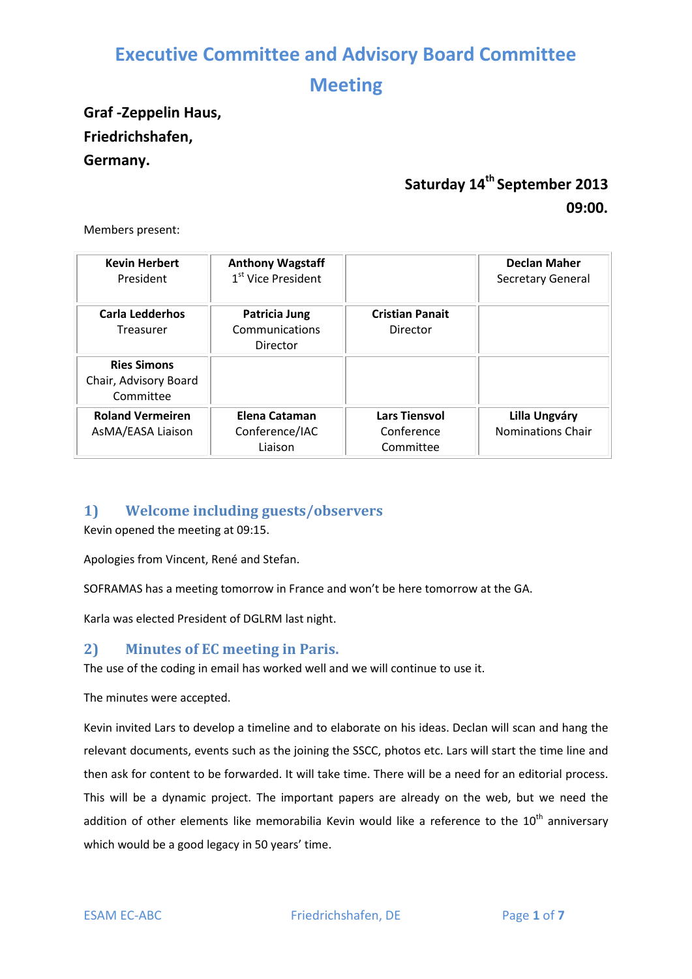## **Meeting**

## **Graf -Zeppelin Haus, Friedrichshafen, Germany.**

## **Saturday 14th September 2013 09:00.**

Members present:

| <b>Kevin Herbert</b><br>President                        | <b>Anthony Wagstaff</b><br>1 <sup>st</sup> Vice President |                                                 | <b>Declan Maher</b><br>Secretary General         |
|----------------------------------------------------------|-----------------------------------------------------------|-------------------------------------------------|--------------------------------------------------|
| Carla Ledderhos<br>Treasurer                             | Patricia Jung<br>Communications<br>Director               | <b>Cristian Panait</b><br>Director              |                                                  |
| <b>Ries Simons</b><br>Chair, Advisory Board<br>Committee |                                                           |                                                 |                                                  |
| <b>Roland Vermeiren</b><br>AsMA/EASA Liaison             | Elena Cataman<br>Conference/IAC<br>Liaison                | <b>Lars Tiensvol</b><br>Conference<br>Committee | <b>Lilla Ungváry</b><br><b>Nominations Chair</b> |

### <span id="page-1-0"></span>**1) Welcome including guests/observers**

Kevin opened the meeting at 09:15.

Apologies from Vincent, René and Stefan.

SOFRAMAS has a meeting tomorrow in France and won't be here tomorrow at the GA.

Karla was elected President of DGLRM last night.

#### <span id="page-1-1"></span>**2) Minutes of EC meeting in Paris.**

The use of the coding in email has worked well and we will continue to use it.

The minutes were accepted.

Kevin invited Lars to develop a timeline and to elaborate on his ideas. Declan will scan and hang the relevant documents, events such as the joining the SSCC, photos etc. Lars will start the time line and then ask for content to be forwarded. It will take time. There will be a need for an editorial process. This will be a dynamic project. The important papers are already on the web, but we need the addition of other elements like memorabilia Kevin would like a reference to the  $10<sup>th</sup>$  anniversary which would be a good legacy in 50 years' time.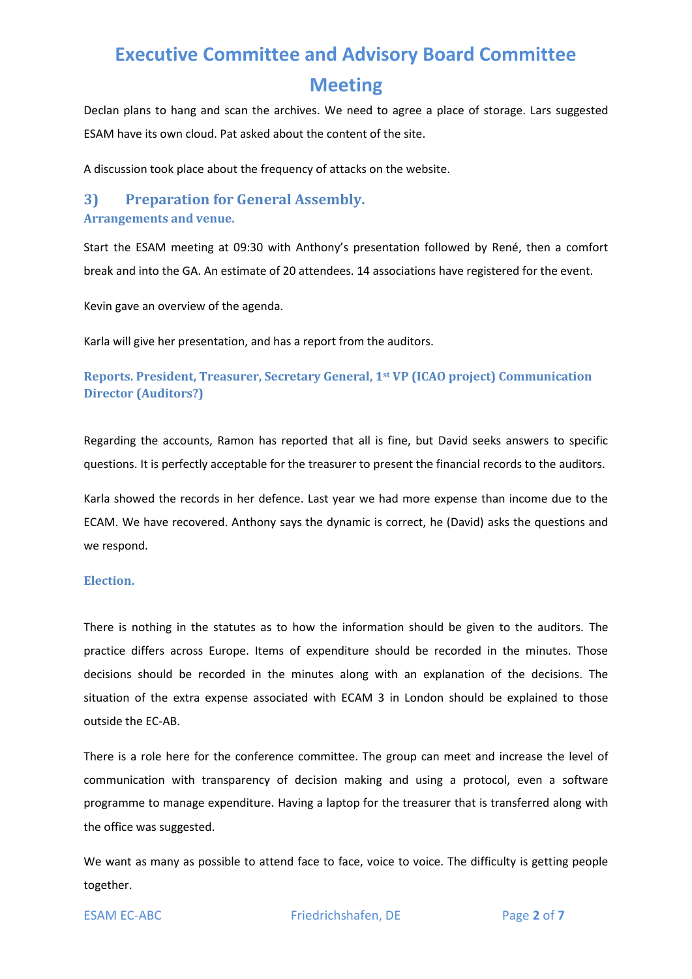## **Meeting**

Declan plans to hang and scan the archives. We need to agree a place of storage. Lars suggested ESAM have its own cloud. Pat asked about the content of the site.

A discussion took place about the frequency of attacks on the website.

## <span id="page-2-0"></span>**3) Preparation for General Assembly.**

#### **Arrangements and venue.**

Start the ESAM meeting at 09:30 with Anthony's presentation followed by René, then a comfort break and into the GA. An estimate of 20 attendees. 14 associations have registered for the event.

Kevin gave an overview of the agenda.

Karla will give her presentation, and has a report from the auditors.

#### <span id="page-2-1"></span>**Reports. President, Treasurer, Secretary General, 1st VP (ICAO project) Communication Director (Auditors?)**

Regarding the accounts, Ramon has reported that all is fine, but David seeks answers to specific questions. It is perfectly acceptable for the treasurer to present the financial records to the auditors.

Karla showed the records in her defence. Last year we had more expense than income due to the ECAM. We have recovered. Anthony says the dynamic is correct, he (David) asks the questions and we respond.

#### <span id="page-2-2"></span>**Election.**

There is nothing in the statutes as to how the information should be given to the auditors. The practice differs across Europe. Items of expenditure should be recorded in the minutes. Those decisions should be recorded in the minutes along with an explanation of the decisions. The situation of the extra expense associated with ECAM 3 in London should be explained to those outside the EC-AB.

There is a role here for the conference committee. The group can meet and increase the level of communication with transparency of decision making and using a protocol, even a software programme to manage expenditure. Having a laptop for the treasurer that is transferred along with the office was suggested.

We want as many as possible to attend face to face, voice to voice. The difficulty is getting people together.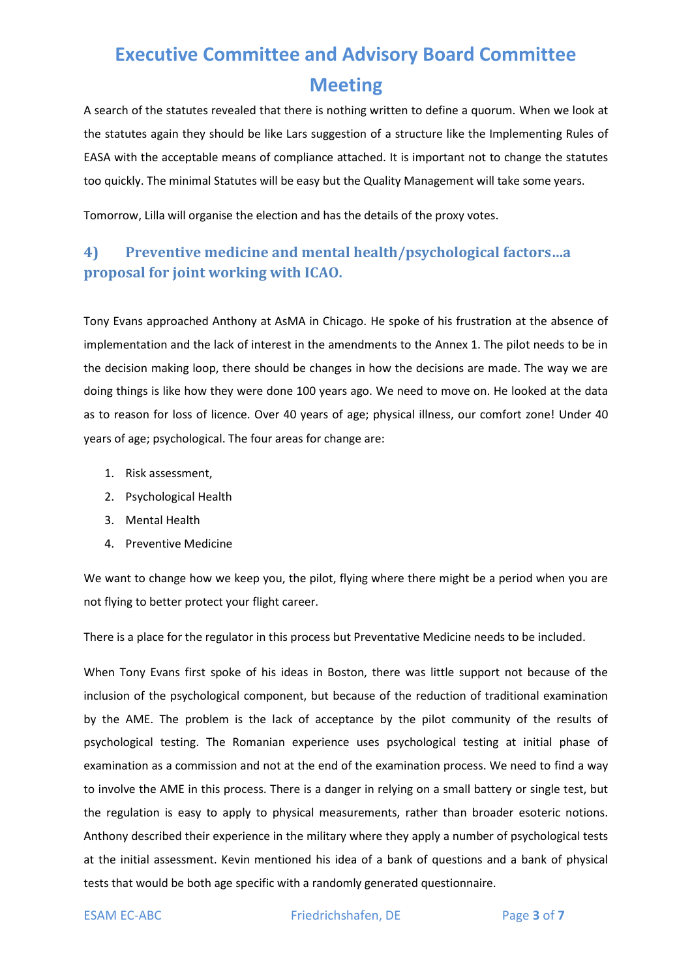A search of the statutes revealed that there is nothing written to define a quorum. When we look at the statutes again they should be like Lars suggestion of a structure like the Implementing Rules of EASA with the acceptable means of compliance attached. It is important not to change the statutes too quickly. The minimal Statutes will be easy but the Quality Management will take some years.

Tomorrow, Lilla will organise the election and has the details of the proxy votes.

## <span id="page-3-0"></span>**4) Preventive medicine and mental health/psychological factors…a proposal for joint working with ICAO.**

Tony Evans approached Anthony at AsMA in Chicago. He spoke of his frustration at the absence of implementation and the lack of interest in the amendments to the Annex 1. The pilot needs to be in the decision making loop, there should be changes in how the decisions are made. The way we are doing things is like how they were done 100 years ago. We need to move on. He looked at the data as to reason for loss of licence. Over 40 years of age; physical illness, our comfort zone! Under 40 years of age; psychological. The four areas for change are:

- 1. Risk assessment,
- 2. Psychological Health
- 3. Mental Health
- 4. Preventive Medicine

We want to change how we keep you, the pilot, flying where there might be a period when you are not flying to better protect your flight career.

There is a place for the regulator in this process but Preventative Medicine needs to be included.

When Tony Evans first spoke of his ideas in Boston, there was little support not because of the inclusion of the psychological component, but because of the reduction of traditional examination by the AME. The problem is the lack of acceptance by the pilot community of the results of psychological testing. The Romanian experience uses psychological testing at initial phase of examination as a commission and not at the end of the examination process. We need to find a way to involve the AME in this process. There is a danger in relying on a small battery or single test, but the regulation is easy to apply to physical measurements, rather than broader esoteric notions. Anthony described their experience in the military where they apply a number of psychological tests at the initial assessment. Kevin mentioned his idea of a bank of questions and a bank of physical tests that would be both age specific with a randomly generated questionnaire.

ESAM EC-ABC Friedrichshafen, DE Page 3 of 7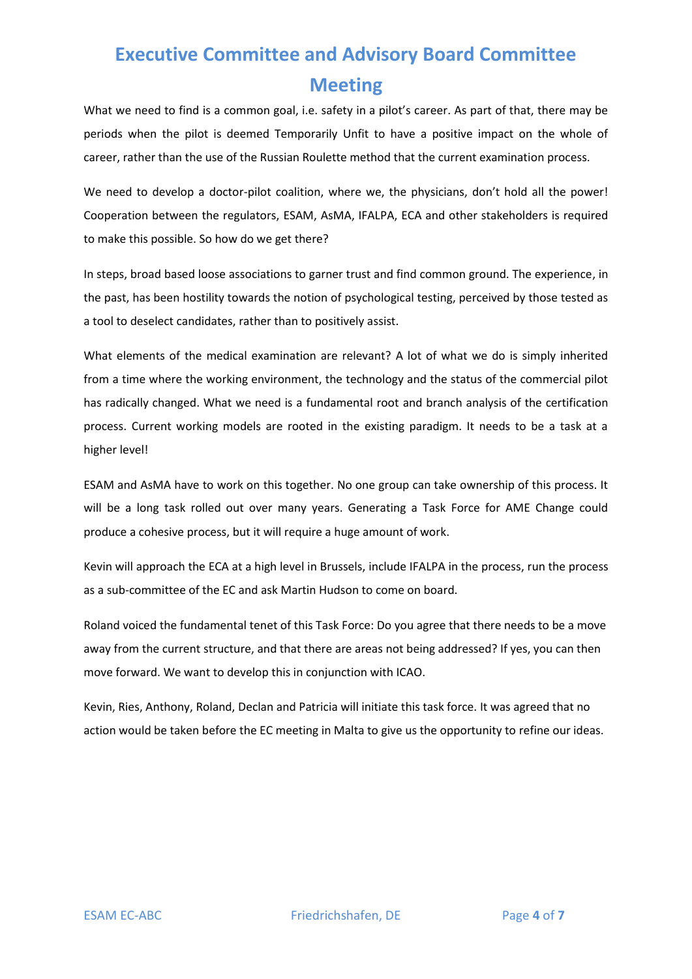What we need to find is a common goal, i.e. safety in a pilot's career. As part of that, there may be periods when the pilot is deemed Temporarily Unfit to have a positive impact on the whole of career, rather than the use of the Russian Roulette method that the current examination process.

We need to develop a doctor-pilot coalition, where we, the physicians, don't hold all the power! Cooperation between the regulators, ESAM, AsMA, IFALPA, ECA and other stakeholders is required to make this possible. So how do we get there?

In steps, broad based loose associations to garner trust and find common ground. The experience, in the past, has been hostility towards the notion of psychological testing, perceived by those tested as a tool to deselect candidates, rather than to positively assist.

What elements of the medical examination are relevant? A lot of what we do is simply inherited from a time where the working environment, the technology and the status of the commercial pilot has radically changed. What we need is a fundamental root and branch analysis of the certification process. Current working models are rooted in the existing paradigm. It needs to be a task at a higher level!

ESAM and AsMA have to work on this together. No one group can take ownership of this process. It will be a long task rolled out over many years. Generating a Task Force for AME Change could produce a cohesive process, but it will require a huge amount of work.

Kevin will approach the ECA at a high level in Brussels, include IFALPA in the process, run the process as a sub-committee of the EC and ask Martin Hudson to come on board.

Roland voiced the fundamental tenet of this Task Force: Do you agree that there needs to be a move away from the current structure, and that there are areas not being addressed? If yes, you can then move forward. We want to develop this in conjunction with ICAO.

Kevin, Ries, Anthony, Roland, Declan and Patricia will initiate this task force. It was agreed that no action would be taken before the EC meeting in Malta to give us the opportunity to refine our ideas.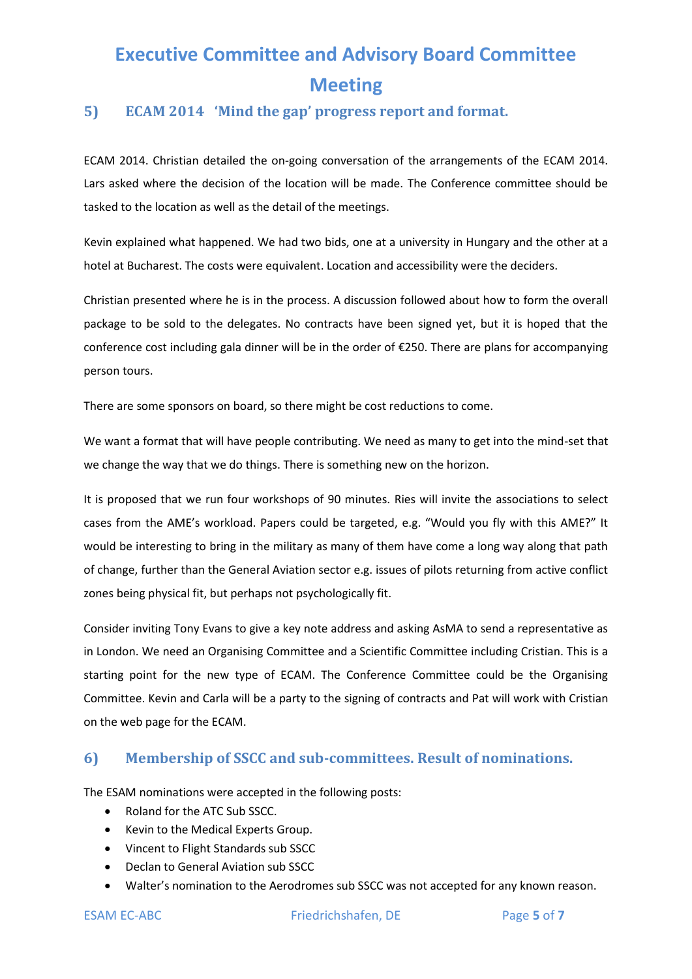### <span id="page-5-0"></span>**5) ECAM 2014 'Mind the gap' progress report and format.**

ECAM 2014. Christian detailed the on-going conversation of the arrangements of the ECAM 2014. Lars asked where the decision of the location will be made. The Conference committee should be tasked to the location as well as the detail of the meetings.

Kevin explained what happened. We had two bids, one at a university in Hungary and the other at a hotel at Bucharest. The costs were equivalent. Location and accessibility were the deciders.

Christian presented where he is in the process. A discussion followed about how to form the overall package to be sold to the delegates. No contracts have been signed yet, but it is hoped that the conference cost including gala dinner will be in the order of €250. There are plans for accompanying person tours.

There are some sponsors on board, so there might be cost reductions to come.

We want a format that will have people contributing. We need as many to get into the mind-set that we change the way that we do things. There is something new on the horizon.

It is proposed that we run four workshops of 90 minutes. Ries will invite the associations to select cases from the AME's workload. Papers could be targeted, e.g. "Would you fly with this AME?" It would be interesting to bring in the military as many of them have come a long way along that path of change, further than the General Aviation sector e.g. issues of pilots returning from active conflict zones being physical fit, but perhaps not psychologically fit.

Consider inviting Tony Evans to give a key note address and asking AsMA to send a representative as in London. We need an Organising Committee and a Scientific Committee including Cristian. This is a starting point for the new type of ECAM. The Conference Committee could be the Organising Committee. Kevin and Carla will be a party to the signing of contracts and Pat will work with Cristian on the web page for the ECAM.

#### <span id="page-5-1"></span>**6) Membership of SSCC and sub-committees. Result of nominations.**

The ESAM nominations were accepted in the following posts:

- Roland for the ATC Sub SSCC.
- Kevin to the Medical Experts Group.
- Vincent to Flight Standards sub SSCC
- Declan to General Aviation sub SSCC
- Walter's nomination to the Aerodromes sub SSCC was not accepted for any known reason.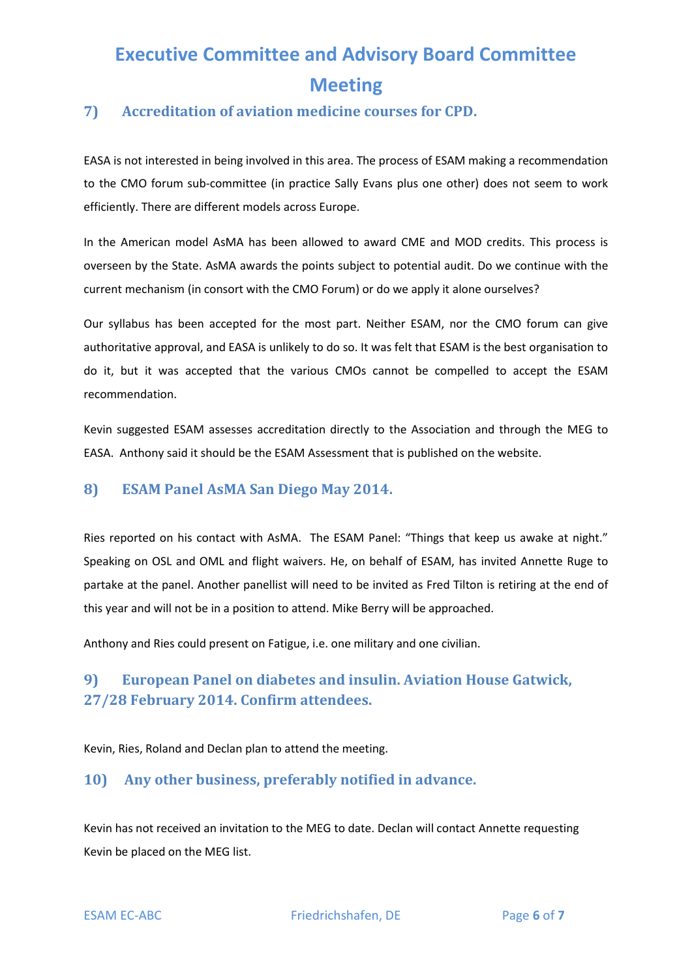### <span id="page-6-0"></span>**7) Accreditation of aviation medicine courses for CPD.**

EASA is not interested in being involved in this area. The process of ESAM making a recommendation to the CMO forum sub-committee (in practice Sally Evans plus one other) does not seem to work efficiently. There are different models across Europe.

In the American model AsMA has been allowed to award CME and MOD credits. This process is overseen by the State. AsMA awards the points subject to potential audit. Do we continue with the current mechanism (in consort with the CMO Forum) or do we apply it alone ourselves?

Our syllabus has been accepted for the most part. Neither ESAM, nor the CMO forum can give authoritative approval, and EASA is unlikely to do so. It was felt that ESAM is the best organisation to do it, but it was accepted that the various CMOs cannot be compelled to accept the ESAM recommendation.

Kevin suggested ESAM assesses accreditation directly to the Association and through the MEG to EASA. Anthony said it should be the ESAM Assessment that is published on the website.

#### <span id="page-6-1"></span>**8) ESAM Panel AsMA San Diego May 2014.**

Ries reported on his contact with AsMA. The ESAM Panel: "Things that keep us awake at night." Speaking on OSL and OML and flight waivers. He, on behalf of ESAM, has invited Annette Ruge to partake at the panel. Another panellist will need to be invited as Fred Tilton is retiring at the end of this year and will not be in a position to attend. Mike Berry will be approached.

Anthony and Ries could present on Fatigue, i.e. one military and one civilian.

## <span id="page-6-2"></span>**9) European Panel on diabetes and insulin. Aviation House Gatwick, 27/28 February 2014. Confirm attendees.**

Kevin, Ries, Roland and Declan plan to attend the meeting.

### <span id="page-6-3"></span>**10) Any other business, preferably notified in advance.**

Kevin has not received an invitation to the MEG to date. Declan will contact Annette requesting Kevin be placed on the MEG list.